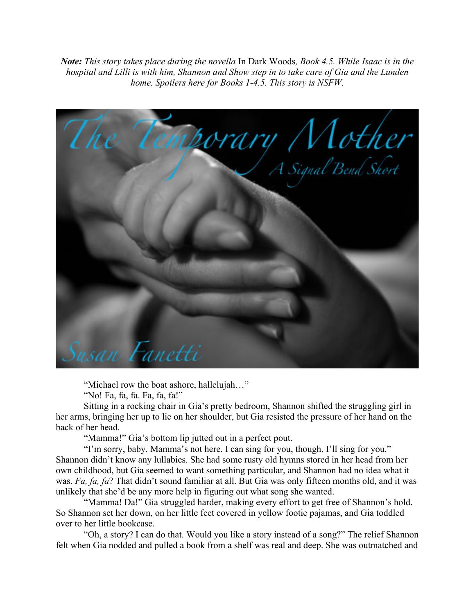*Note: This story takes place during the novella* In Dark Woods*, Book 4.5. While Isaac is in the hospital and Lilli is with him, Shannon and Show step in to take care of Gia and the Lunden home. Spoilers here for Books 1-4.5. This story is NSFW.*



"Michael row the boat ashore, hallelujah…"

"No! Fa, fa, fa, Fa, fa, fa!"

Sitting in a rocking chair in Gia's pretty bedroom, Shannon shifted the struggling girl in her arms, bringing her up to lie on her shoulder, but Gia resisted the pressure of her hand on the back of her head.

"Mamma!" Gia's bottom lip jutted out in a perfect pout.

"I'm sorry, baby. Mamma's not here. I can sing for you, though. I'll sing for you." Shannon didn't know any lullabies. She had some rusty old hymns stored in her head from her own childhood, but Gia seemed to want something particular, and Shannon had no idea what it was. *Fa, fa, fa*? That didn't sound familiar at all. But Gia was only fifteen months old, and it was unlikely that she'd be any more help in figuring out what song she wanted.

"Mamma! Da!" Gia struggled harder, making every effort to get free of Shannon's hold. So Shannon set her down, on her little feet covered in yellow footie pajamas, and Gia toddled over to her little bookcase.

"Oh, a story? I can do that. Would you like a story instead of a song?" The relief Shannon felt when Gia nodded and pulled a book from a shelf was real and deep. She was outmatched and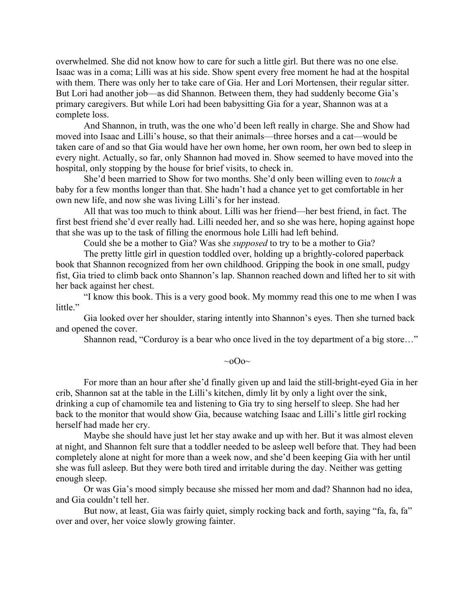overwhelmed. She did not know how to care for such a little girl. But there was no one else. Isaac was in a coma; Lilli was at his side. Show spent every free moment he had at the hospital with them. There was only her to take care of Gia. Her and Lori Mortensen, their regular sitter. But Lori had another job—as did Shannon. Between them, they had suddenly become Gia's primary caregivers. But while Lori had been babysitting Gia for a year, Shannon was at a complete loss.

And Shannon, in truth, was the one who'd been left really in charge. She and Show had moved into Isaac and Lilli's house, so that their animals—three horses and a cat—would be taken care of and so that Gia would have her own home, her own room, her own bed to sleep in every night. Actually, so far, only Shannon had moved in. Show seemed to have moved into the hospital, only stopping by the house for brief visits, to check in.

She'd been married to Show for two months. She'd only been willing even to *touch* a baby for a few months longer than that. She hadn't had a chance yet to get comfortable in her own new life, and now she was living Lilli's for her instead.

All that was too much to think about. Lilli was her friend—her best friend, in fact. The first best friend she'd ever really had. Lilli needed her, and so she was here, hoping against hope that she was up to the task of filling the enormous hole Lilli had left behind.

Could she be a mother to Gia? Was she *supposed* to try to be a mother to Gia?

The pretty little girl in question toddled over, holding up a brightly-colored paperback book that Shannon recognized from her own childhood. Gripping the book in one small, pudgy fist, Gia tried to climb back onto Shannon's lap. Shannon reached down and lifted her to sit with her back against her chest.

"I know this book. This is a very good book. My mommy read this one to me when I was little."

Gia looked over her shoulder, staring intently into Shannon's eyes. Then she turned back and opened the cover.

Shannon read, "Corduroy is a bear who once lived in the toy department of a big store…"

## $\sim 0$ 0 $\sim$

For more than an hour after she'd finally given up and laid the still-bright-eyed Gia in her crib, Shannon sat at the table in the Lilli's kitchen, dimly lit by only a light over the sink, drinking a cup of chamomile tea and listening to Gia try to sing herself to sleep. She had her back to the monitor that would show Gia, because watching Isaac and Lilli's little girl rocking herself had made her cry.

Maybe she should have just let her stay awake and up with her. But it was almost eleven at night, and Shannon felt sure that a toddler needed to be asleep well before that. They had been completely alone at night for more than a week now, and she'd been keeping Gia with her until she was full asleep. But they were both tired and irritable during the day. Neither was getting enough sleep.

Or was Gia's mood simply because she missed her mom and dad? Shannon had no idea, and Gia couldn't tell her.

But now, at least, Gia was fairly quiet, simply rocking back and forth, saying "fa, fa, fa" over and over, her voice slowly growing fainter.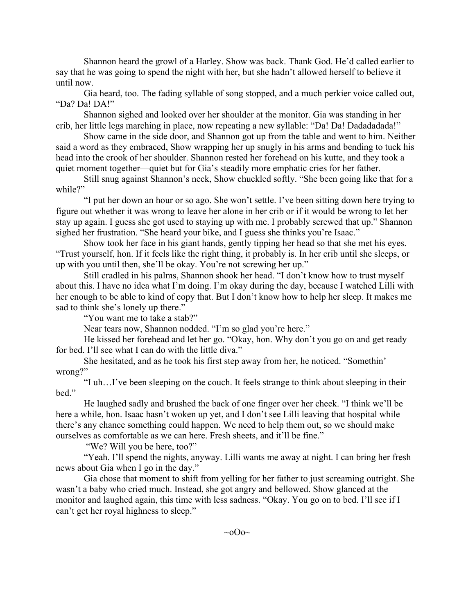Shannon heard the growl of a Harley. Show was back. Thank God. He'd called earlier to say that he was going to spend the night with her, but she hadn't allowed herself to believe it until now.

Gia heard, too. The fading syllable of song stopped, and a much perkier voice called out, "Da? Da! DA!"

Shannon sighed and looked over her shoulder at the monitor. Gia was standing in her crib, her little legs marching in place, now repeating a new syllable: "Da! Da! Dadadadada!"

Show came in the side door, and Shannon got up from the table and went to him. Neither said a word as they embraced, Show wrapping her up snugly in his arms and bending to tuck his head into the crook of her shoulder. Shannon rested her forehead on his kutte, and they took a quiet moment together—quiet but for Gia's steadily more emphatic cries for her father.

Still snug against Shannon's neck, Show chuckled softly. "She been going like that for a while?"

"I put her down an hour or so ago. She won't settle. I've been sitting down here trying to figure out whether it was wrong to leave her alone in her crib or if it would be wrong to let her stay up again. I guess she got used to staying up with me. I probably screwed that up." Shannon sighed her frustration. "She heard your bike, and I guess she thinks you're Isaac."

Show took her face in his giant hands, gently tipping her head so that she met his eyes. "Trust yourself, hon. If it feels like the right thing, it probably is. In her crib until she sleeps, or up with you until then, she'll be okay. You're not screwing her up."

Still cradled in his palms, Shannon shook her head. "I don't know how to trust myself about this. I have no idea what I'm doing. I'm okay during the day, because I watched Lilli with her enough to be able to kind of copy that. But I don't know how to help her sleep. It makes me sad to think she's lonely up there."

"You want me to take a stab?"

Near tears now, Shannon nodded. "I'm so glad you're here."

He kissed her forehead and let her go. "Okay, hon. Why don't you go on and get ready for bed. I'll see what I can do with the little diva."

She hesitated, and as he took his first step away from her, he noticed. "Somethin' wrong?"

"I uh…I've been sleeping on the couch. It feels strange to think about sleeping in their bed."

He laughed sadly and brushed the back of one finger over her cheek. "I think we'll be here a while, hon. Isaac hasn't woken up yet, and I don't see Lilli leaving that hospital while there's any chance something could happen. We need to help them out, so we should make ourselves as comfortable as we can here. Fresh sheets, and it'll be fine."

"We? Will you be here, too?"

"Yeah. I'll spend the nights, anyway. Lilli wants me away at night. I can bring her fresh news about Gia when I go in the day."

Gia chose that moment to shift from yelling for her father to just screaming outright. She wasn't a baby who cried much. Instead, she got angry and bellowed. Show glanced at the monitor and laughed again, this time with less sadness. "Okay. You go on to bed. I'll see if I can't get her royal highness to sleep."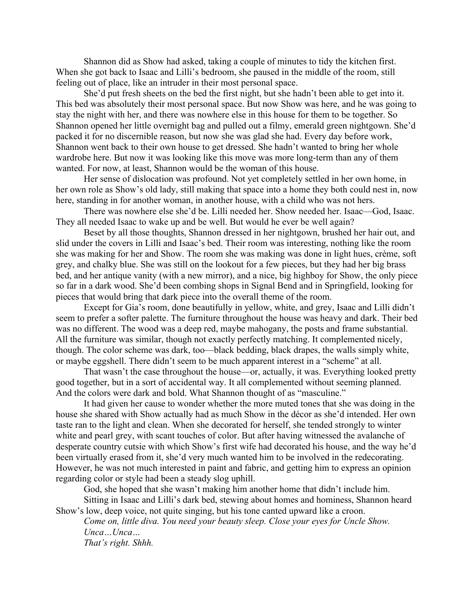Shannon did as Show had asked, taking a couple of minutes to tidy the kitchen first. When she got back to Isaac and Lilli's bedroom, she paused in the middle of the room, still feeling out of place, like an intruder in their most personal space.

She'd put fresh sheets on the bed the first night, but she hadn't been able to get into it. This bed was absolutely their most personal space. But now Show was here, and he was going to stay the night with her, and there was nowhere else in this house for them to be together. So Shannon opened her little overnight bag and pulled out a filmy, emerald green nightgown. She'd packed it for no discernible reason, but now she was glad she had. Every day before work, Shannon went back to their own house to get dressed. She hadn't wanted to bring her whole wardrobe here. But now it was looking like this move was more long-term than any of them wanted. For now, at least, Shannon would be the woman of this house.

Her sense of dislocation was profound. Not yet completely settled in her own home, in her own role as Show's old lady, still making that space into a home they both could nest in, now here, standing in for another woman, in another house, with a child who was not hers.

There was nowhere else she'd be. Lilli needed her. Show needed her. Isaac—God, Isaac. They all needed Isaac to wake up and be well. But would he ever be well again?

Beset by all those thoughts, Shannon dressed in her nightgown, brushed her hair out, and slid under the covers in Lilli and Isaac's bed. Their room was interesting, nothing like the room she was making for her and Show. The room she was making was done in light hues, crème, soft grey, and chalky blue. She was still on the lookout for a few pieces, but they had her big brass bed, and her antique vanity (with a new mirror), and a nice, big highboy for Show, the only piece so far in a dark wood. She'd been combing shops in Signal Bend and in Springfield, looking for pieces that would bring that dark piece into the overall theme of the room.

Except for Gia's room, done beautifully in yellow, white, and grey, Isaac and Lilli didn't seem to prefer a softer palette. The furniture throughout the house was heavy and dark. Their bed was no different. The wood was a deep red, maybe mahogany, the posts and frame substantial. All the furniture was similar, though not exactly perfectly matching. It complemented nicely, though. The color scheme was dark, too—black bedding, black drapes, the walls simply white, or maybe eggshell. There didn't seem to be much apparent interest in a "scheme" at all.

That wasn't the case throughout the house—or, actually, it was. Everything looked pretty good together, but in a sort of accidental way. It all complemented without seeming planned. And the colors were dark and bold. What Shannon thought of as "masculine."

It had given her cause to wonder whether the more muted tones that she was doing in the house she shared with Show actually had as much Show in the décor as she'd intended. Her own taste ran to the light and clean. When she decorated for herself, she tended strongly to winter white and pearl grey, with scant touches of color. But after having witnessed the avalanche of desperate country cutsie with which Show's first wife had decorated his house, and the way he'd been virtually erased from it, she'd very much wanted him to be involved in the redecorating. However, he was not much interested in paint and fabric, and getting him to express an opinion regarding color or style had been a steady slog uphill.

God, she hoped that she wasn't making him another home that didn't include him.

Sitting in Isaac and Lilli's dark bed, stewing about homes and hominess, Shannon heard Show's low, deep voice, not quite singing, but his tone canted upward like a croon.

*Come on, little diva. You need your beauty sleep. Close your eyes for Uncle Show. Unca…Unca…*

*That's right. Shhh.*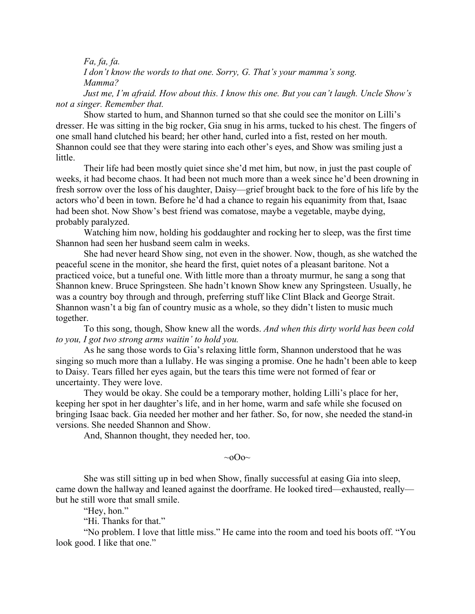*Fa, fa, fa. I don't know the words to that one. Sorry, G. That's your mamma's song. Mamma?*

*Just me, I'm afraid. How about this. I know this one. But you can't laugh. Uncle Show's not a singer. Remember that.*

Show started to hum, and Shannon turned so that she could see the monitor on Lilli's dresser. He was sitting in the big rocker, Gia snug in his arms, tucked to his chest. The fingers of one small hand clutched his beard; her other hand, curled into a fist, rested on her mouth. Shannon could see that they were staring into each other's eyes, and Show was smiling just a little.

Their life had been mostly quiet since she'd met him, but now, in just the past couple of weeks, it had become chaos. It had been not much more than a week since he'd been drowning in fresh sorrow over the loss of his daughter, Daisy—grief brought back to the fore of his life by the actors who'd been in town. Before he'd had a chance to regain his equanimity from that, Isaac had been shot. Now Show's best friend was comatose, maybe a vegetable, maybe dying, probably paralyzed.

Watching him now, holding his goddaughter and rocking her to sleep, was the first time Shannon had seen her husband seem calm in weeks.

She had never heard Show sing, not even in the shower. Now, though, as she watched the peaceful scene in the monitor, she heard the first, quiet notes of a pleasant baritone. Not a practiced voice, but a tuneful one. With little more than a throaty murmur, he sang a song that Shannon knew. Bruce Springsteen. She hadn't known Show knew any Springsteen. Usually, he was a country boy through and through, preferring stuff like Clint Black and George Strait. Shannon wasn't a big fan of country music as a whole, so they didn't listen to music much together.

To this song, though, Show knew all the words. *And when this dirty world has been cold to you, I got two strong arms waitin' to hold you.*

As he sang those words to Gia's relaxing little form, Shannon understood that he was singing so much more than a lullaby. He was singing a promise. One he hadn't been able to keep to Daisy. Tears filled her eyes again, but the tears this time were not formed of fear or uncertainty. They were love.

They would be okay. She could be a temporary mother, holding Lilli's place for her, keeping her spot in her daughter's life, and in her home, warm and safe while she focused on bringing Isaac back. Gia needed her mother and her father. So, for now, she needed the stand-in versions. She needed Shannon and Show.

And, Shannon thought, they needed her, too.

 $\sim 0$ 0 $\sim$ 

She was still sitting up in bed when Show, finally successful at easing Gia into sleep, came down the hallway and leaned against the doorframe. He looked tired—exhausted, really but he still wore that small smile.

"Hey, hon."

"Hi. Thanks for that."

"No problem. I love that little miss." He came into the room and toed his boots off. "You look good. I like that one."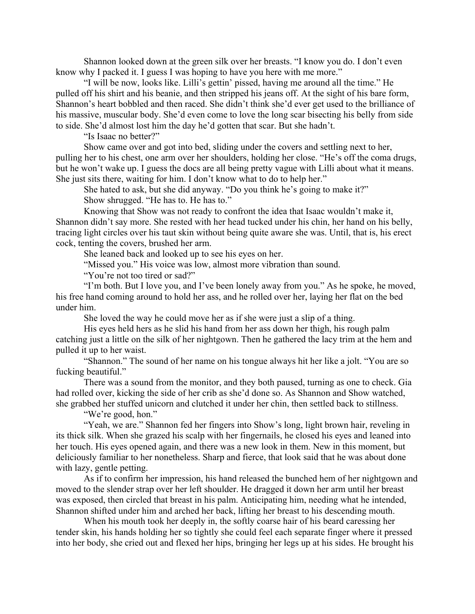Shannon looked down at the green silk over her breasts. "I know you do. I don't even know why I packed it. I guess I was hoping to have you here with me more."

"I will be now, looks like. Lilli's gettin' pissed, having me around all the time." He pulled off his shirt and his beanie, and then stripped his jeans off. At the sight of his bare form, Shannon's heart bobbled and then raced. She didn't think she'd ever get used to the brilliance of his massive, muscular body. She'd even come to love the long scar bisecting his belly from side to side. She'd almost lost him the day he'd gotten that scar. But she hadn't.

"Is Isaac no better?"

Show came over and got into bed, sliding under the covers and settling next to her, pulling her to his chest, one arm over her shoulders, holding her close. "He's off the coma drugs, but he won't wake up. I guess the docs are all being pretty vague with Lilli about what it means. She just sits there, waiting for him. I don't know what to do to help her."

She hated to ask, but she did anyway. "Do you think he's going to make it?"

Show shrugged. "He has to. He has to."

Knowing that Show was not ready to confront the idea that Isaac wouldn't make it, Shannon didn't say more. She rested with her head tucked under his chin, her hand on his belly, tracing light circles over his taut skin without being quite aware she was. Until, that is, his erect cock, tenting the covers, brushed her arm.

She leaned back and looked up to see his eyes on her.

"Missed you." His voice was low, almost more vibration than sound.

"You're not too tired or sad?"

"I'm both. But I love you, and I've been lonely away from you." As he spoke, he moved, his free hand coming around to hold her ass, and he rolled over her, laying her flat on the bed under him.

She loved the way he could move her as if she were just a slip of a thing.

His eyes held hers as he slid his hand from her ass down her thigh, his rough palm catching just a little on the silk of her nightgown. Then he gathered the lacy trim at the hem and pulled it up to her waist.

"Shannon." The sound of her name on his tongue always hit her like a jolt. "You are so fucking beautiful."

There was a sound from the monitor, and they both paused, turning as one to check. Gia had rolled over, kicking the side of her crib as she'd done so. As Shannon and Show watched, she grabbed her stuffed unicorn and clutched it under her chin, then settled back to stillness.

"We're good, hon."

"Yeah, we are." Shannon fed her fingers into Show's long, light brown hair, reveling in its thick silk. When she grazed his scalp with her fingernails, he closed his eyes and leaned into her touch. His eyes opened again, and there was a new look in them. New in this moment, but deliciously familiar to her nonetheless. Sharp and fierce, that look said that he was about done with lazy, gentle petting.

As if to confirm her impression, his hand released the bunched hem of her nightgown and moved to the slender strap over her left shoulder. He dragged it down her arm until her breast was exposed, then circled that breast in his palm. Anticipating him, needing what he intended, Shannon shifted under him and arched her back, lifting her breast to his descending mouth.

When his mouth took her deeply in, the softly coarse hair of his beard caressing her tender skin, his hands holding her so tightly she could feel each separate finger where it pressed into her body, she cried out and flexed her hips, bringing her legs up at his sides. He brought his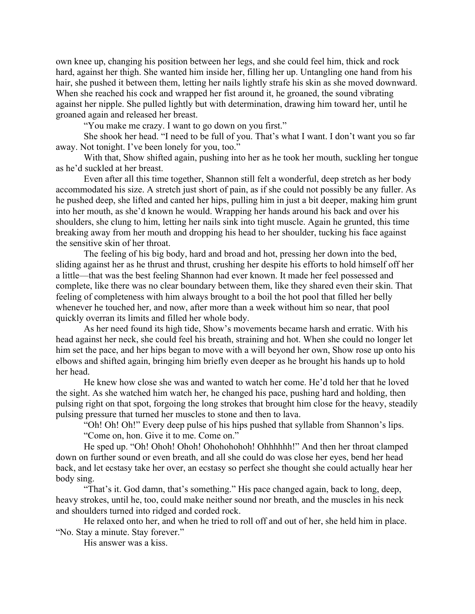own knee up, changing his position between her legs, and she could feel him, thick and rock hard, against her thigh. She wanted him inside her, filling her up. Untangling one hand from his hair, she pushed it between them, letting her nails lightly strafe his skin as she moved downward. When she reached his cock and wrapped her fist around it, he groaned, the sound vibrating against her nipple. She pulled lightly but with determination, drawing him toward her, until he groaned again and released her breast.

"You make me crazy. I want to go down on you first."

She shook her head. "I need to be full of you. That's what I want. I don't want you so far away. Not tonight. I've been lonely for you, too."

With that, Show shifted again, pushing into her as he took her mouth, suckling her tongue as he'd suckled at her breast.

Even after all this time together, Shannon still felt a wonderful, deep stretch as her body accommodated his size. A stretch just short of pain, as if she could not possibly be any fuller. As he pushed deep, she lifted and canted her hips, pulling him in just a bit deeper, making him grunt into her mouth, as she'd known he would. Wrapping her hands around his back and over his shoulders, she clung to him, letting her nails sink into tight muscle. Again he grunted, this time breaking away from her mouth and dropping his head to her shoulder, tucking his face against the sensitive skin of her throat.

The feeling of his big body, hard and broad and hot, pressing her down into the bed, sliding against her as he thrust and thrust, crushing her despite his efforts to hold himself off her a little—that was the best feeling Shannon had ever known. It made her feel possessed and complete, like there was no clear boundary between them, like they shared even their skin. That feeling of completeness with him always brought to a boil the hot pool that filled her belly whenever he touched her, and now, after more than a week without him so near, that pool quickly overran its limits and filled her whole body.

As her need found its high tide, Show's movements became harsh and erratic. With his head against her neck, she could feel his breath, straining and hot. When she could no longer let him set the pace, and her hips began to move with a will beyond her own, Show rose up onto his elbows and shifted again, bringing him briefly even deeper as he brought his hands up to hold her head.

He knew how close she was and wanted to watch her come. He'd told her that he loved the sight. As she watched him watch her, he changed his pace, pushing hard and holding, then pulsing right on that spot, forgoing the long strokes that brought him close for the heavy, steadily pulsing pressure that turned her muscles to stone and then to lava.

"Oh! Oh! Oh!" Every deep pulse of his hips pushed that syllable from Shannon's lips. "Come on, hon. Give it to me. Come on."

He sped up. "Oh! Ohoh! Ohoh! Ohohohohoh! Ohhhhhh!" And then her throat clamped down on further sound or even breath, and all she could do was close her eyes, bend her head back, and let ecstasy take her over, an ecstasy so perfect she thought she could actually hear her body sing.

"That's it. God damn, that's something." His pace changed again, back to long, deep, heavy strokes, until he, too, could make neither sound nor breath, and the muscles in his neck and shoulders turned into ridged and corded rock.

He relaxed onto her, and when he tried to roll off and out of her, she held him in place. "No. Stay a minute. Stay forever."

His answer was a kiss.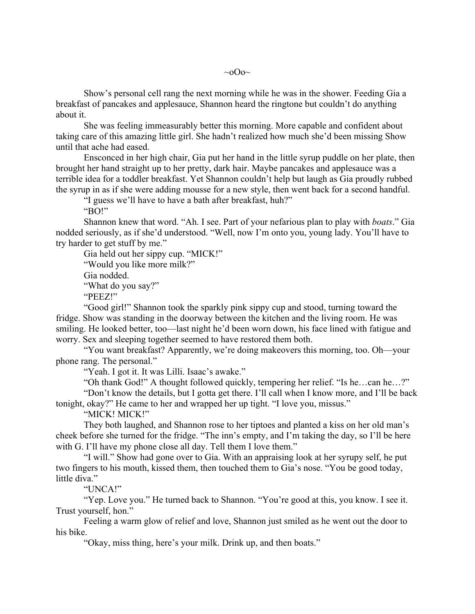Show's personal cell rang the next morning while he was in the shower. Feeding Gia a breakfast of pancakes and applesauce, Shannon heard the ringtone but couldn't do anything about it.

She was feeling immeasurably better this morning. More capable and confident about taking care of this amazing little girl. She hadn't realized how much she'd been missing Show until that ache had eased.

Ensconced in her high chair, Gia put her hand in the little syrup puddle on her plate, then brought her hand straight up to her pretty, dark hair. Maybe pancakes and applesauce was a terrible idea for a toddler breakfast. Yet Shannon couldn't help but laugh as Gia proudly rubbed the syrup in as if she were adding mousse for a new style, then went back for a second handful.

"I guess we'll have to have a bath after breakfast, huh?"

"BO!"

Shannon knew that word. "Ah. I see. Part of your nefarious plan to play with *boats*." Gia nodded seriously, as if she'd understood. "Well, now I'm onto you, young lady. You'll have to try harder to get stuff by me."

Gia held out her sippy cup. "MICK!" "Would you like more milk?" Gia nodded. "What do you say?" "PEEZ!"

"Good girl!" Shannon took the sparkly pink sippy cup and stood, turning toward the fridge. Show was standing in the doorway between the kitchen and the living room. He was smiling. He looked better, too—last night he'd been worn down, his face lined with fatigue and worry. Sex and sleeping together seemed to have restored them both.

"You want breakfast? Apparently, we're doing makeovers this morning, too. Oh—your phone rang. The personal."

"Yeah. I got it. It was Lilli. Isaac's awake."

"Oh thank God!" A thought followed quickly, tempering her relief. "Is he…can he…?" "Don't know the details, but I gotta get there. I'll call when I know more, and I'll be back

tonight, okay?" He came to her and wrapped her up tight. "I love you, missus."

"MICK! MICK!"

They both laughed, and Shannon rose to her tiptoes and planted a kiss on her old man's cheek before she turned for the fridge. "The inn's empty, and I'm taking the day, so I'll be here with G. I'll have my phone close all day. Tell them I love them."

"I will." Show had gone over to Gia. With an appraising look at her syrupy self, he put two fingers to his mouth, kissed them, then touched them to Gia's nose. "You be good today, little diva."

"UNCA!"

"Yep. Love you." He turned back to Shannon. "You're good at this, you know. I see it. Trust yourself, hon."

Feeling a warm glow of relief and love, Shannon just smiled as he went out the door to his bike.

"Okay, miss thing, here's your milk. Drink up, and then boats."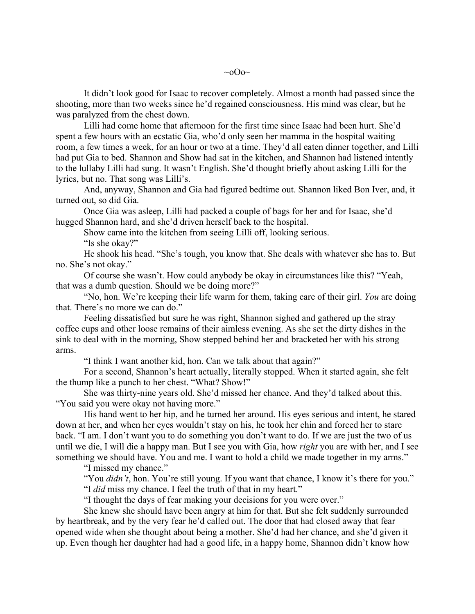It didn't look good for Isaac to recover completely. Almost a month had passed since the shooting, more than two weeks since he'd regained consciousness. His mind was clear, but he was paralyzed from the chest down.

Lilli had come home that afternoon for the first time since Isaac had been hurt. She'd spent a few hours with an ecstatic Gia, who'd only seen her mamma in the hospital waiting room, a few times a week, for an hour or two at a time. They'd all eaten dinner together, and Lilli had put Gia to bed. Shannon and Show had sat in the kitchen, and Shannon had listened intently to the lullaby Lilli had sung. It wasn't English. She'd thought briefly about asking Lilli for the lyrics, but no. That song was Lilli's.

And, anyway, Shannon and Gia had figured bedtime out. Shannon liked Bon Iver, and, it turned out, so did Gia.

Once Gia was asleep, Lilli had packed a couple of bags for her and for Isaac, she'd hugged Shannon hard, and she'd driven herself back to the hospital.

Show came into the kitchen from seeing Lilli off, looking serious. "Is she okay?"

He shook his head. "She's tough, you know that. She deals with whatever she has to. But no. She's not okay."

Of course she wasn't. How could anybody be okay in circumstances like this? "Yeah, that was a dumb question. Should we be doing more?"

"No, hon. We're keeping their life warm for them, taking care of their girl. *You* are doing that. There's no more we can do."

Feeling dissatisfied but sure he was right, Shannon sighed and gathered up the stray coffee cups and other loose remains of their aimless evening. As she set the dirty dishes in the sink to deal with in the morning, Show stepped behind her and bracketed her with his strong arms.

"I think I want another kid, hon. Can we talk about that again?"

For a second, Shannon's heart actually, literally stopped. When it started again, she felt the thump like a punch to her chest. "What? Show!"

She was thirty-nine years old. She'd missed her chance. And they'd talked about this. "You said you were okay not having more."

His hand went to her hip, and he turned her around. His eyes serious and intent, he stared down at her, and when her eyes wouldn't stay on his, he took her chin and forced her to stare back. "I am. I don't want you to do something you don't want to do. If we are just the two of us until we die, I will die a happy man. But I see you with Gia, how *right* you are with her, and I see something we should have. You and me. I want to hold a child we made together in my arms."

"I missed my chance."

"You *didn't*, hon. You're still young. If you want that chance, I know it's there for you."

"I *did* miss my chance. I feel the truth of that in my heart."

"I thought the days of fear making your decisions for you were over."

She knew she should have been angry at him for that. But she felt suddenly surrounded by heartbreak, and by the very fear he'd called out. The door that had closed away that fear opened wide when she thought about being a mother. She'd had her chance, and she'd given it up. Even though her daughter had had a good life, in a happy home, Shannon didn't know how